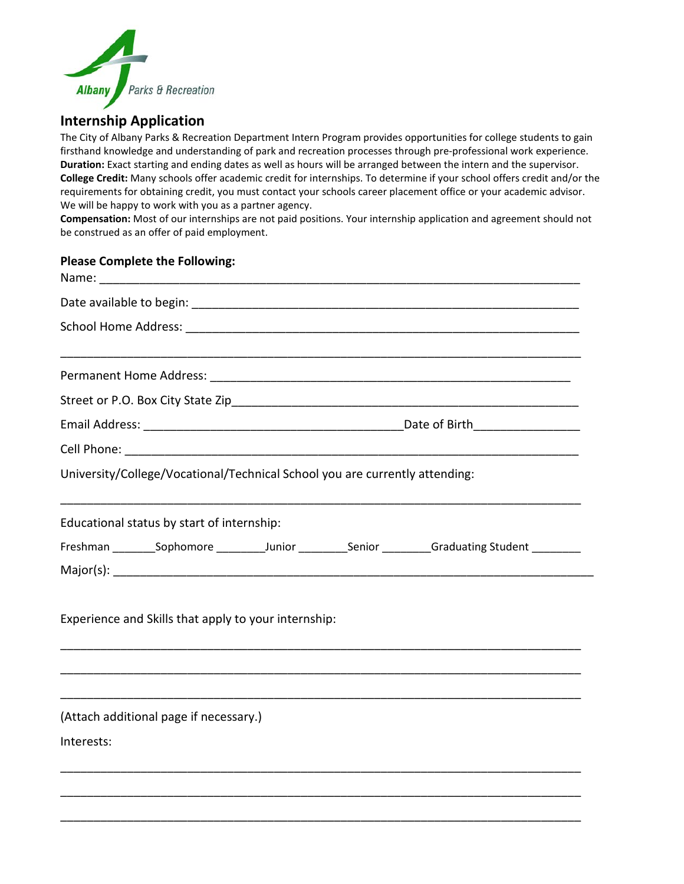

## **Internship Application**

The City of Albany Parks & Recreation Department Intern Program provides opportunities for college students to gain firsthand knowledge and understanding of park and recreation processes through pre-professional work experience. **Duration:** Exact starting and ending dates as well as hours will be arranged between the intern and the supervisor. **College Credit:** Many schools offer academic credit for internships. To determine if your school offers credit and/or the requirements for obtaining credit, you must contact your schools career placement office or your academic advisor. We will be happy to work with you as a partner agency.

**Compensation:** Most of our internships are not paid positions. Your internship application and agreement should not be construed as an offer of paid employment.

## **Please Complete the Following:**

| University/College/Vocational/Technical School you are currently attending:                          |  |  |  |  |
|------------------------------------------------------------------------------------------------------|--|--|--|--|
| Educational status by start of internship:                                                           |  |  |  |  |
| Freshman __________Sophomore ___________Junior __________Senior __________Graduating Student _______ |  |  |  |  |
|                                                                                                      |  |  |  |  |
| Experience and Skills that apply to your internship:                                                 |  |  |  |  |
|                                                                                                      |  |  |  |  |
| (Attach additional page if necessary.)                                                               |  |  |  |  |
| Interests:                                                                                           |  |  |  |  |
|                                                                                                      |  |  |  |  |
|                                                                                                      |  |  |  |  |
|                                                                                                      |  |  |  |  |